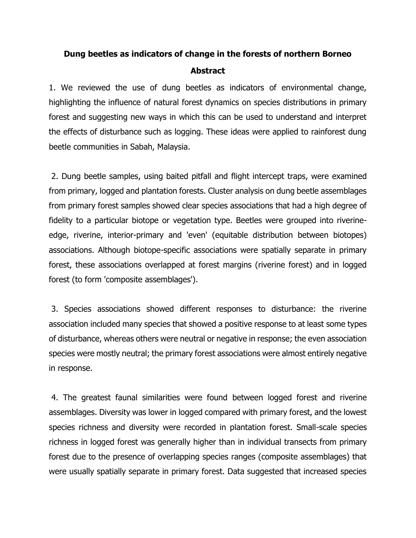## **Dung beetles as indicators of change in the forests of northern Borneo Abstract**

1. We reviewed the use of dung beetles as indicators of environmental change, highlighting the influence of natural forest dynamics on species distributions in primary forest and suggesting new ways in which this can be used to understand and interpret the effects of disturbance such as logging. These ideas were applied to rainforest dung beetle communities in Sabah, Malaysia.

2. Dung beetle samples, using baited pitfall and flight intercept traps, were examined from primary, logged and plantation forests. Cluster analysis on dung beetle assemblages from primary forest samples showed clear species associations that had a high degree of fidelity to a particular biotope or vegetation type. Beetles were grouped into riverineedge, riverine, interior-primary and 'even' (equitable distribution between biotopes) associations. Although biotope-specific associations were spatially separate in primary forest, these associations overlapped at forest margins (riverine forest) and in logged forest (to form 'composite assemblages').

3. Species associations showed different responses to disturbance: the riverine association included many species that showed a positive response to at least some types of disturbance, whereas others were neutral or negative in response; the even association species were mostly neutral; the primary forest associations were almost entirely negative in response.

4. The greatest faunal similarities were found between logged forest and riverine assemblages. Diversity was lower in logged compared with primary forest, and the lowest species richness and diversity were recorded in plantation forest. Small-scale species richness in logged forest was generally higher than in individual transects from primary forest due to the presence of overlapping species ranges (composite assemblages) that were usually spatially separate in primary forest. Data suggested that increased species